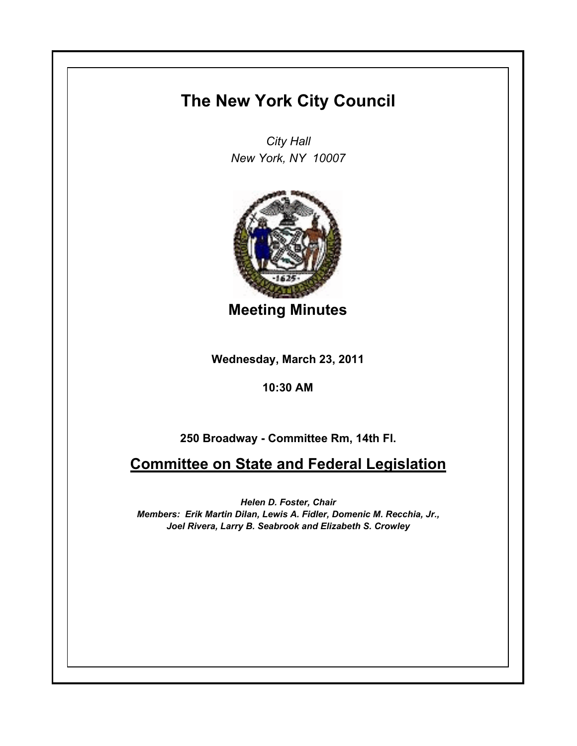## **The New York City Council**

*City Hall New York, NY 10007*



**Meeting Minutes**

**Wednesday, March 23, 2011**

**10:30 AM**

**250 Broadway - Committee Rm, 14th Fl.**

**Committee on State and Federal Legislation**

*Helen D. Foster, Chair Members: Erik Martin Dilan, Lewis A. Fidler, Domenic M. Recchia, Jr., Joel Rivera, Larry B. Seabrook and Elizabeth S. Crowley*